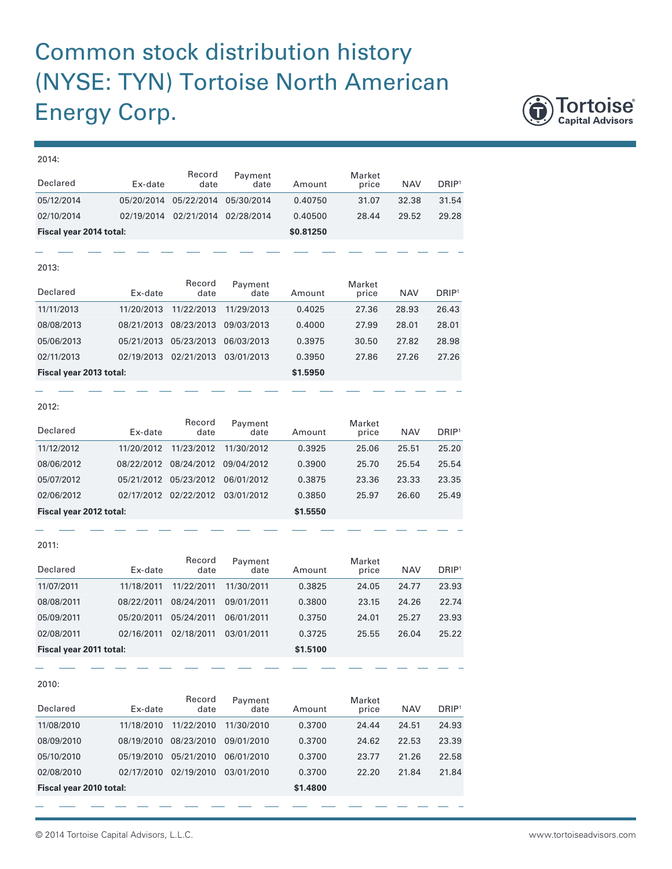## Common stock distribution history (NYSE: TYN) Tortoise North American Energy Corp.



## 2014: Declared Ex-date Record date Payment<br>date Amount Market price NAV DRIP1 05/12/2014 05/20/2014 05/22/2014 05/30/2014 0.40750 31.07 32.38 31.54 02/10/2014 02/19/2014 02/21/2014 02/28/2014 0.40500 28.44 29.52 29.28 **Fiscal year 2014 total: \$0.81250** 2013: Declared Ex-date Record date Payment<br>date Amount Market price NAV DRIP<sup>1</sup> 11/11/2013 11/20/2013 11/22/2013 11/29/2013 0.4025 27.36 28.93 26.43 08/08/2013 08/21/2013 08/23/2013 09/03/2013 0.4000 27.99 28.01 28.01 05/06/2013 05/21/2013 05/23/2013 06/03/2013 0.3975 30.50 27.82 28.98 02/11/2013 02/19/2013 02/21/2013 03/01/2013 0.3950 27.86 27.26 27.26 **Fiscal year 2013 total: \$1.5950** 2012: Declared Ex-date Record date Payment Amount Market price NAV DRIP<sup>1</sup> 11/12/2012 11/20/2012 11/23/2012 11/30/2012 0.3925 25.06 25.51 25.20 08/06/2012 08/22/2012 08/24/2012 09/04/2012 0.3900 25.70 25.54 25.54 05/07/2012 05/21/2012 05/23/2012 06/01/2012 0.3875 23.36 23.33 23.35

2011:

| Declared                | Ex-date    | Record<br>date | Payment<br>date | Amount   | Market<br>price | <b>NAV</b> | DRIP <sup>1</sup> |
|-------------------------|------------|----------------|-----------------|----------|-----------------|------------|-------------------|
| 11/07/2011              | 11/18/2011 | 11/22/2011     | 11/30/2011      | 0.3825   | 24.05           | 24.77      | 23.93             |
| 08/08/2011              | 08/22/2011 | 08/24/2011     | 09/01/2011      | 0.3800   | 23.15           | 24.26      | 22.74             |
| 05/09/2011              | 05/20/2011 | 05/24/2011     | 06/01/2011      | 0.3750   | 24.01           | 25.27      | 23.93             |
| 02/08/2011              | 02/16/2011 | 02/18/2011     | 03/01/2011      | 0.3725   | 25.55           | 26.04      | 25.22             |
| Fiscal year 2011 total: |            |                |                 | \$1.5100 |                 |            |                   |

02/06/2012 02/17/2012 02/22/2012 03/01/2012 0.3850 25.97 26.60 25.49

**Fiscal year 2012 total: \$1.5550**

2010:

| Declared                | Ex-date    | Record<br>date | Payment<br>date | Amount   | Market<br>price | <b>NAV</b> | DRIP <sup>1</sup> |
|-------------------------|------------|----------------|-----------------|----------|-----------------|------------|-------------------|
| 11/08/2010              | 11/18/2010 | 11/22/2010     | 11/30/2010      | 0.3700   | 24.44           | 24.51      | 24.93             |
| 08/09/2010              | 08/19/2010 | 08/23/2010     | 09/01/2010      | 0.3700   | 24.62           | 22.53      | 23.39             |
| 05/10/2010              | 05/19/2010 | 05/21/2010     | 06/01/2010      | 0.3700   | 23.77           | 21.26      | 22.58             |
| 02/08/2010              | 02/17/2010 | 02/19/2010     | 03/01/2010      | 0.3700   | 22.20           | 21.84      | 21.84             |
| Fiscal year 2010 total: |            |                |                 | \$1,4800 |                 |            |                   |